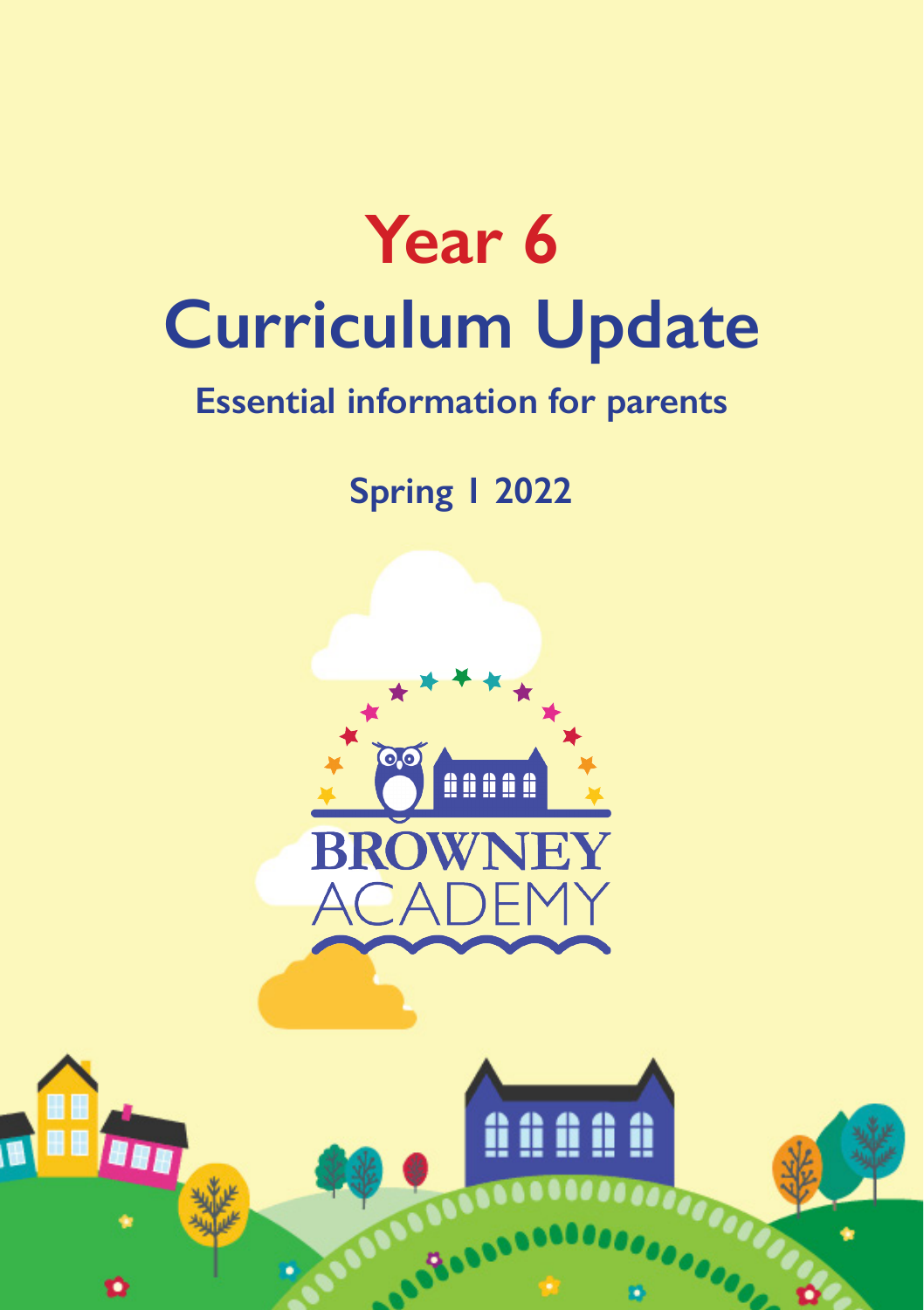

## **Essential information for parents**

**Spring 1 2022**



**TH** 

û û û û û

**OOOO**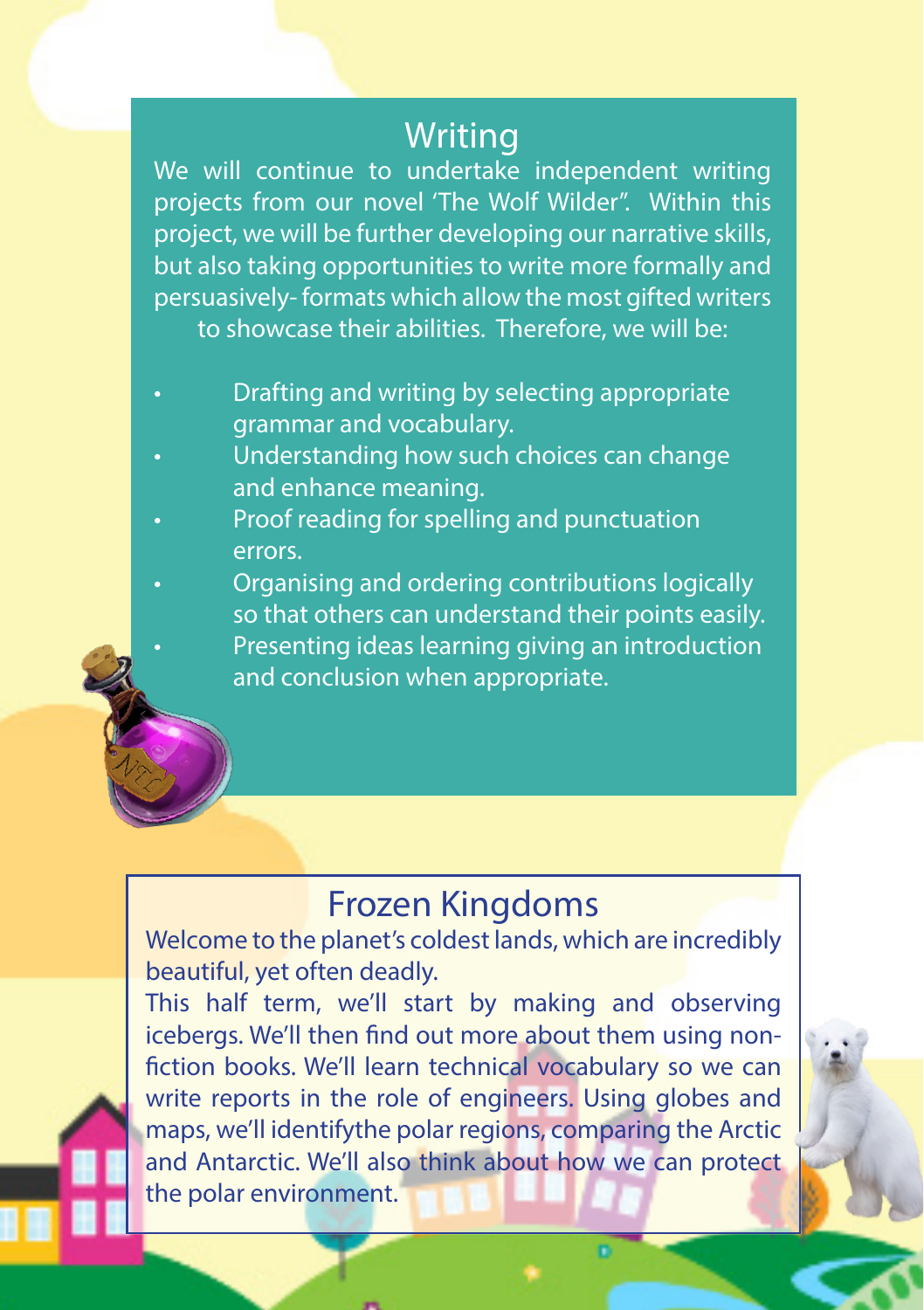### **Writing**

We will continue to undertake independent writing projects from our novel 'The Wolf Wilder''. Within this project, we will be further developing our narrative skills, but also taking opportunities to write more formally and persuasively- formats which allow the most gifted writers to showcase their abilities. Therefore, we will be:

- Drafting and writing by selecting appropriate grammar and vocabulary.
- Understanding how such choices can change and enhance meaning.
- Proof reading for spelling and punctuation errors.
- Organising and ordering contributions logically so that others can understand their points easily.
	- Presenting ideas learning giving an introduction and conclusion when appropriate.

### Frozen Kingdoms

Welcome to the planet's coldest lands, which are incredibly beautiful, yet often deadly.

This half term, we'll start by making and observing icebergs. We'll then find out more about them using nonfiction books. We'll learn technical vocabulary so we can write reports in the role of engineers. Using globes and maps, we'll identifythe polar regions, comparing the Arctic and Antarctic. We'll also think about how we can protect the polar environment.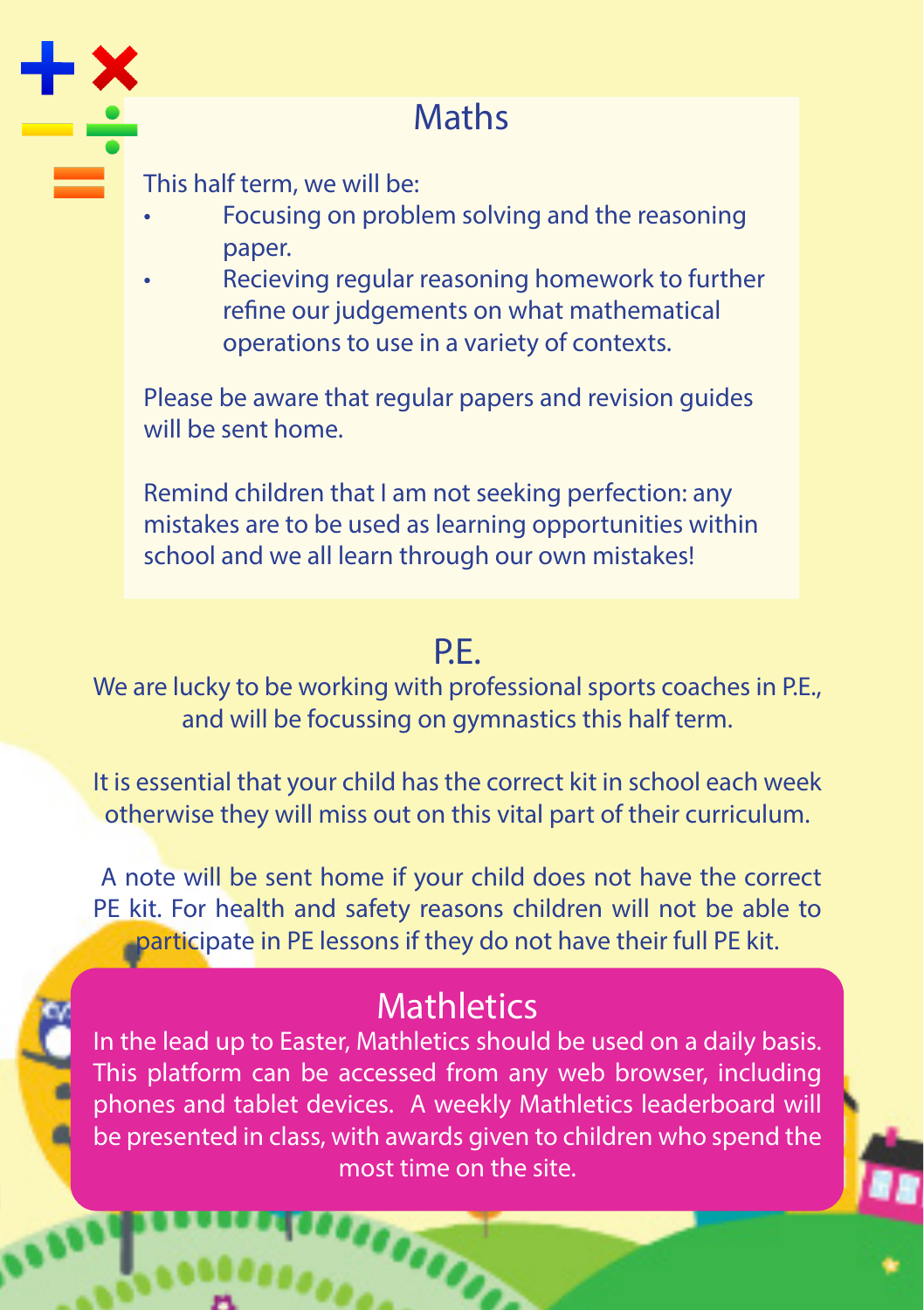

# **Maths**

This half term, we will be:

- Focusing on problem solving and the reasoning paper.
- Recieving regular reasoning homework to further refine our judgements on what mathematical operations to use in a variety of contexts.

Please be aware that regular papers and revision guides will be sent home.

Remind children that I am not seeking perfection: any mistakes are to be used as learning opportunities within school and we all learn through our own mistakes!

#### P.E.

We are lucky to be working with professional sports coaches in P.E., and will be focussing on gymnastics this half term.

It is essential that your child has the correct kit in school each week otherwise they will miss out on this vital part of their curriculum.

 A note will be sent home if your child does not have the correct PE kit. For health and safety reasons children will not be able to participate in PE lessons if they do not have their full PE kit.

# **Mathletics**

In the lead up to Easter, Mathletics should be used on a daily basis. This platform can be accessed from any web browser, including phones and tablet devices. A weekly Mathletics leaderboard will be presented in class, with awards given to children who spend the most time on the site.

**SACTOR**